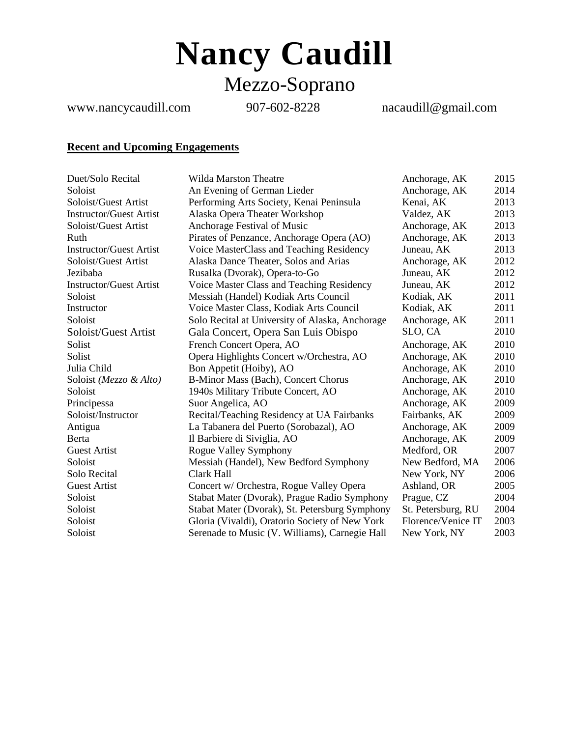**Nancy Caudill** Mezzo-Soprano

www.nancycaudill.com 907-602-8228 nacaudill@gmail.com

# **Recent and Upcoming Engagements**

| Duet/Solo Recital              | <b>Wilda Marston Theatre</b>                    | Anchorage, AK      | 2015 |
|--------------------------------|-------------------------------------------------|--------------------|------|
| Soloist                        | An Evening of German Lieder                     | Anchorage, AK      | 2014 |
| Soloist/Guest Artist           | Performing Arts Society, Kenai Peninsula        | Kenai, AK          | 2013 |
| <b>Instructor/Guest Artist</b> | Alaska Opera Theater Workshop                   | Valdez, AK         | 2013 |
| Soloist/Guest Artist           | Anchorage Festival of Music                     | Anchorage, AK      | 2013 |
| Ruth                           | Pirates of Penzance, Anchorage Opera (AO)       | Anchorage, AK      | 2013 |
| <b>Instructor/Guest Artist</b> | Voice MasterClass and Teaching Residency        | Juneau, AK         | 2013 |
| Soloist/Guest Artist           | Alaska Dance Theater, Solos and Arias           | Anchorage, AK      | 2012 |
| Jezibaba                       | Rusalka (Dvorak), Opera-to-Go                   | Juneau, AK         | 2012 |
| <b>Instructor/Guest Artist</b> | Voice Master Class and Teaching Residency       | Juneau, AK         | 2012 |
| Soloist                        | Messiah (Handel) Kodiak Arts Council            | Kodiak, AK         | 2011 |
| Instructor                     | Voice Master Class, Kodiak Arts Council         | Kodiak, AK         | 2011 |
| Soloist                        | Solo Recital at University of Alaska, Anchorage | Anchorage, AK      | 2011 |
| Soloist/Guest Artist           | Gala Concert, Opera San Luis Obispo             | SLO, CA            | 2010 |
| Solist                         | French Concert Opera, AO                        | Anchorage, AK      | 2010 |
| Solist                         | Opera Highlights Concert w/Orchestra, AO        | Anchorage, AK      | 2010 |
| Julia Child                    | Bon Appetit (Hoiby), AO                         | Anchorage, AK      | 2010 |
| Soloist (Mezzo & Alto)         | B-Minor Mass (Bach), Concert Chorus             | Anchorage, AK      | 2010 |
| Soloist                        | 1940s Military Tribute Concert, AO              | Anchorage, AK      | 2010 |
| Principessa                    | Suor Angelica, AO                               | Anchorage, AK      | 2009 |
| Soloist/Instructor             | Recital/Teaching Residency at UA Fairbanks      | Fairbanks, AK      | 2009 |
| Antigua                        | La Tabanera del Puerto (Sorobazal), AO          | Anchorage, AK      | 2009 |
| Berta                          | Il Barbiere di Siviglia, AO                     | Anchorage, AK      | 2009 |
| <b>Guest Artist</b>            | Rogue Valley Symphony                           | Medford, OR        | 2007 |
| Soloist                        | Messiah (Handel), New Bedford Symphony          | New Bedford, MA    | 2006 |
| Solo Recital                   | Clark Hall                                      | New York, NY       | 2006 |
| <b>Guest Artist</b>            | Concert w/ Orchestra, Rogue Valley Opera        | Ashland, OR        | 2005 |
| Soloist                        | Stabat Mater (Dvorak), Prague Radio Symphony    | Prague, CZ         | 2004 |
| Soloist                        | Stabat Mater (Dvorak), St. Petersburg Symphony  | St. Petersburg, RU | 2004 |
| Soloist                        | Gloria (Vivaldi), Oratorio Society of New York  | Florence/Venice IT | 2003 |
| Soloist                        | Serenade to Music (V. Williams), Carnegie Hall  | New York, NY       | 2003 |
|                                |                                                 |                    |      |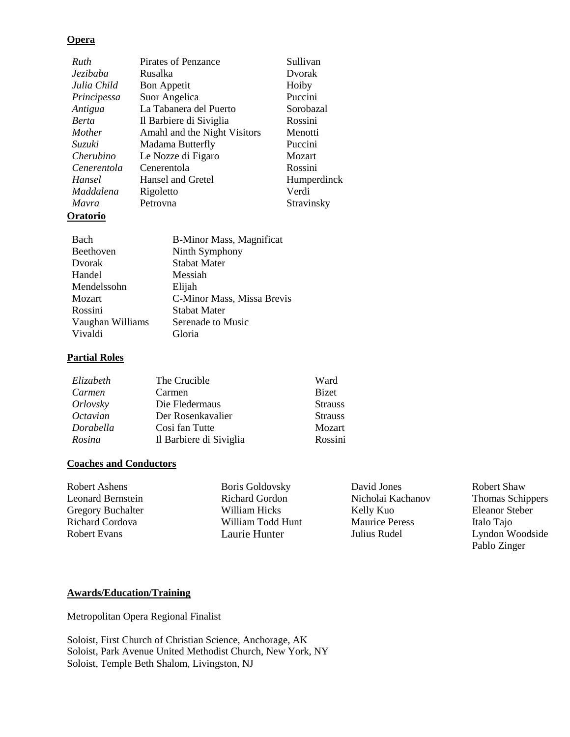#### **Opera**

| Ruth         | Pirates of Penzance          | Sullivan    |
|--------------|------------------------------|-------------|
| Jezibaba     | Rusalka                      | Dvorak      |
| Julia Child  | <b>Bon Appetit</b>           | Hoiby       |
| Principessa  | Suor Angelica                | Puccini     |
| Antigua      | La Tabanera del Puerto       | Sorobazal   |
| <b>Berta</b> | Il Barbiere di Siviglia      | Rossini     |
| Mother       | Amahl and the Night Visitors | Menotti     |
| Suzuki       | Madama Butterfly             | Puccini     |
| Cherubino    | Le Nozze di Figaro           | Mozart      |
| Cenerentola  | Cenerentola                  | Rossini     |
| Hansel       | Hansel and Gretel            | Humperdinck |
| Maddalena    | Rigoletto                    | Verdi       |
| Mavra        | Petrovna                     | Stravinsky  |
|              |                              |             |

## **Oratorio**

| Bach             | <b>B-Minor Mass, Magnificat</b> |
|------------------|---------------------------------|
| Beethoven        | Ninth Symphony                  |
| Dvorak           | <b>Stabat Mater</b>             |
| Handel           | Messiah                         |
| Mendelssohn      | Elijah                          |
| Mozart           | C-Minor Mass, Missa Brevis      |
| Rossini          | <b>Stabat Mater</b>             |
| Vaughan Williams | Serenade to Music               |
| Vivaldi          | Gloria                          |

## **Partial Roles**

| Elizabeth | The Crucible            | Ward           |
|-----------|-------------------------|----------------|
| Carmen    | Carmen                  | <b>Bizet</b>   |
| Orlovsky  | Die Fledermaus          | <b>Strauss</b> |
| Octavian  | Der Rosenkavalier       | <b>Strauss</b> |
| Dorabella | Cosi fan Tutte          | Mozart         |
| Rosina    | Il Barbiere di Siviglia | Rossini        |

## **Coaches and Conductors**

| Robert Ashens     | <b>Boris Goldovsky</b> | David Jones           |
|-------------------|------------------------|-----------------------|
| Leonard Bernstein | <b>Richard Gordon</b>  | Nicholai Kachanov     |
| Gregory Buchalter | William Hicks          | Kelly Kuo             |
| Richard Cordova   | William Todd Hunt      | <b>Maurice Peress</b> |
| Robert Evans      | Laurie Hunter          | Julius Rudel          |
|                   |                        |                       |

Robert Shaw Thomas Schippers Eleanor Steber Italo Tajo

Lyndon Woodside Pablo Zinger

#### **Awards/Education/Training**

Metropolitan Opera Regional Finalist

Soloist, First Church of Christian Science, Anchorage, AK Soloist, Park Avenue United Methodist Church, New York, NY Soloist, Temple Beth Shalom, Livingston, NJ